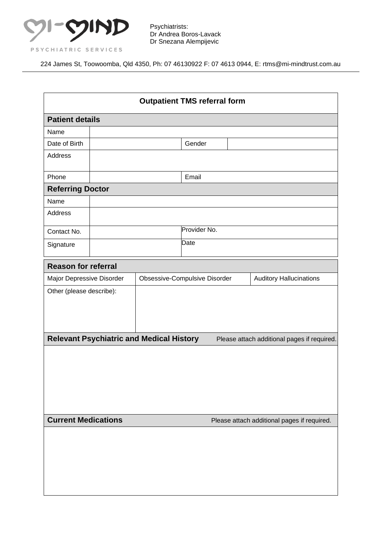

224 James St, Toowoomba, Qld 4350, Ph: 07 46130922 F: 07 4613 0944, E: rtms@mi-mindtrust.com.au

| <b>Outpatient TMS referral form</b> |                                                 |                                                                 |              |                                             |  |  |
|-------------------------------------|-------------------------------------------------|-----------------------------------------------------------------|--------------|---------------------------------------------|--|--|
| <b>Patient details</b>              |                                                 |                                                                 |              |                                             |  |  |
| Name                                |                                                 |                                                                 |              |                                             |  |  |
| Date of Birth                       |                                                 |                                                                 | Gender       |                                             |  |  |
| <b>Address</b>                      |                                                 |                                                                 |              |                                             |  |  |
| Phone                               |                                                 |                                                                 | Email        |                                             |  |  |
| <b>Referring Doctor</b>             |                                                 |                                                                 |              |                                             |  |  |
| Name                                |                                                 |                                                                 |              |                                             |  |  |
| Address                             |                                                 |                                                                 |              |                                             |  |  |
| Contact No.                         |                                                 |                                                                 | Provider No. |                                             |  |  |
| Signature                           |                                                 |                                                                 | Date         |                                             |  |  |
| <b>Reason for referral</b>          |                                                 |                                                                 |              |                                             |  |  |
| Major Depressive Disorder           |                                                 | Obsessive-Compulsive Disorder<br><b>Auditory Hallucinations</b> |              |                                             |  |  |
| Other (please describe):            |                                                 |                                                                 |              |                                             |  |  |
|                                     | <b>Relevant Psychiatric and Medical History</b> |                                                                 |              | Please attach additional pages if required. |  |  |
|                                     |                                                 |                                                                 |              |                                             |  |  |
| <b>Current Medications</b>          |                                                 |                                                                 |              | Please attach additional pages if required. |  |  |
|                                     |                                                 |                                                                 |              |                                             |  |  |